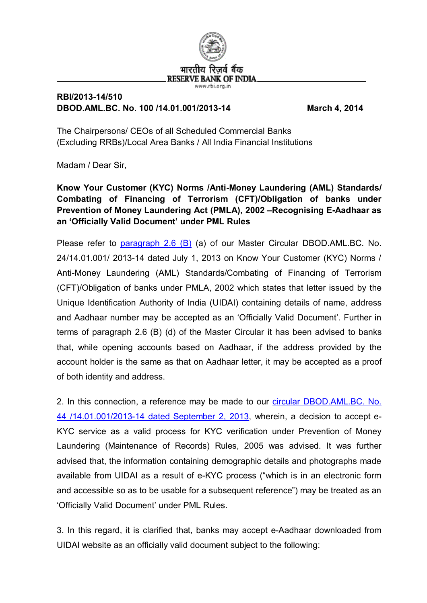

## **RBI/2013-14/510 DBOD.AML.BC. No. 100 /14.01.001/2013-14 March 4, 2014**

The Chairpersons/ CEOs of all Scheduled Commercial Banks (Excluding RRBs)/Local Area Banks / All India Financial Institutions

Madam / Dear Sir,

**Know Your Customer (KYC) Norms /Anti-Money Laundering (AML) Standards/ Combating of Financing of Terrorism (CFT)/Obligation of banks under Prevention of Money Laundering Act (PMLA), 2002 –Recognising E-Aadhaar as an 'Officially Valid Document' under PML Rules**

Please refer to  $paragnah$  2.6 (B) (a) of our Master Circular DBOD.AML.BC. No. 24/14.01.001/ 2013-14 dated July 1, 2013 on Know Your Customer (KYC) Norms / Anti-Money Laundering (AML) Standards/Combating of Financing of Terrorism (CFT)/Obligation of banks under PMLA, 2002 which states that letter issued by the Unique Identification Authority of India (UIDAI) containing details of name, address and Aadhaar number may be accepted as an 'Officially Valid Document'. Further in terms of paragraph 2.6 (B) (d) of the Master Circular it has been advised to banks that, while opening accounts based on Aadhaar, if the address provided by the account holder is the same as that on Aadhaar letter, it may be accepted as a proof of both identity and address.

2. In this connection, a reference may be made to our [circular DBOD.AML.BC. No.](http://www.rbi.org.in/scripts/NotificationUser.aspx?Id=8357&Mode=0) [44 /14.01.001/2013-14 dated September 2, 2013,](http://www.rbi.org.in/scripts/NotificationUser.aspx?Id=8357&Mode=0) wherein, a decision to accept e-KYC service as a valid process for KYC verification under Prevention of Money Laundering (Maintenance of Records) Rules, 2005 was advised. It was further advised that, the information containing demographic details and photographs made available from UIDAI as a result of e-KYC process ("which is in an electronic form and accessible so as to be usable for a subsequent reference") may be treated as an 'Officially Valid Document' under PML Rules.

3. In this regard, it is clarified that, banks may accept e-Aadhaar downloaded from UIDAI website as an officially valid document subject to the following: